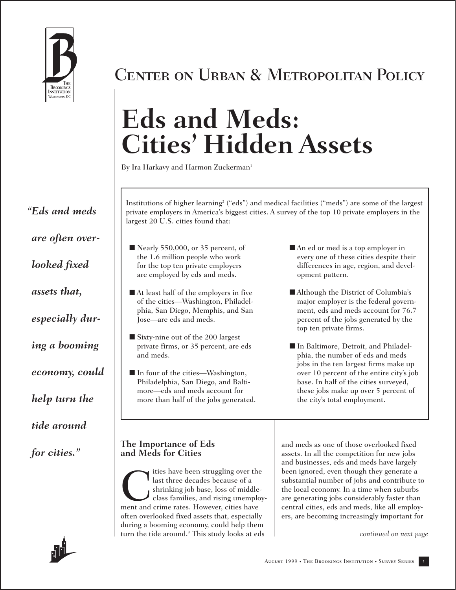

Center on Urban & Metropolitan Policy

# **Eds and Meds: Cities' Hidden Assets**

By Ira Harkavy and Harmon Zuckerman<sup>1</sup>

*"Eds and meds are often overlooked fixed assets that, especially during a booming economy, could help turn the tide around* 

Institutions of higher learning*<sup>2</sup>* ("eds") and medical facilities ("meds") are some of the largest private employers in America's biggest cities. A survey of the top 10 private employers in the largest 20 U.S. cities found that:

- Nearly 550,000, or 35 percent, of the 1.6 million people who work for the top ten private employers are employed by eds and meds.
- At least half of the employers in five of the cities—Washington, Philadelphia, San Diego, Memphis, and San Jose—are eds and meds.
- Sixty-nine out of the 200 largest private firms, or 35 percent, are eds and meds.
- In four of the cities—Washington, Philadelphia, San Diego, and Baltimore—eds and meds account for more than half of the jobs generated.
- An ed or med is a top employer in every one of these cities despite their differences in age, region, and development pattern.
- Although the District of Columbia's major employer is the federal government, eds and meds account for 76.7 percent of the jobs generated by the top ten private firms.
- In Baltimore, Detroit, and Philadelphia, the number of eds and meds jobs in the ten largest firms make up over 10 percent of the entire city's job base. In half of the cities surveyed, these jobs make up over 5 percent of the city's total employment.

### *for cities."* **The Importance of Eds and Meds for Cities**

The state of the struggling over the last three decades because of a shrinking job base, loss of middle-<br>class families, and rising unemployment and crime rates. However, cities have last three decades because of a shrinking job base, loss of middleclass families, and rising unemployment and crime rates. However, cities have often overlooked fixed assets that, especially during a booming economy, could help them turn the tide around.*<sup>3</sup>* This study looks at eds

and meds as one of those overlooked fixed assets. In all the competition for new jobs and businesses, eds and meds have largely been ignored, even though they generate a substantial number of jobs and contribute to the local economy. In a time when suburbs are generating jobs considerably faster than central cities, eds and meds, like all employers, are becoming increasingly important for

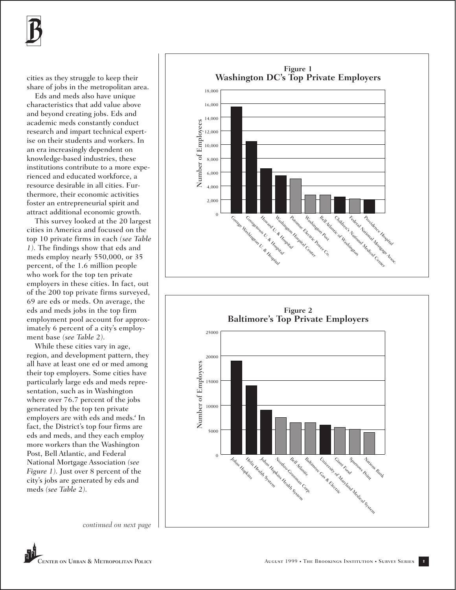

cities as they struggle to keep their share of jobs in the metropolitan area.

Eds and meds also have unique characteristics that add value above and beyond creating jobs. Eds and academic meds constantly conduct research and impart technical expertise on their students and workers. In an era increasingly dependent on knowledge-based industries, these institutions contribute to a more experienced and educated workforce, a resource desirable in all cities. Furthermore, their economic activities foster an entrepreneurial spirit and attract additional economic growth.

This survey looked at the 20 largest cities in America and focused on the top 10 private firms in each *(see Table 1).* The findings show that eds and meds employ nearly 550,000, or 35 percent, of the 1.6 million people who work for the top ten private employers in these cities. In fact, out of the 200 top private firms surveyed, 69 are eds or meds. On average, the eds and meds jobs in the top firm employment pool account for approximately 6 percent of a city's employment base *(see Table 2).*

While these cities vary in age, region, and development pattern, they all have at least one ed or med among their top employers. Some cities have particularly large eds and meds representation, such as in Washington where over 76.7 percent of the jobs generated by the top ten private employers are with eds and meds.*<sup>4</sup>* In fact, the District's top four firms are eds and meds, and they each employ more workers than the Washington Post, Bell Atlantic, and Federal National Mortgage Association *(see Figure 1).* Just over 8 percent of the city's jobs are generated by eds and meds *(see Table 2).*



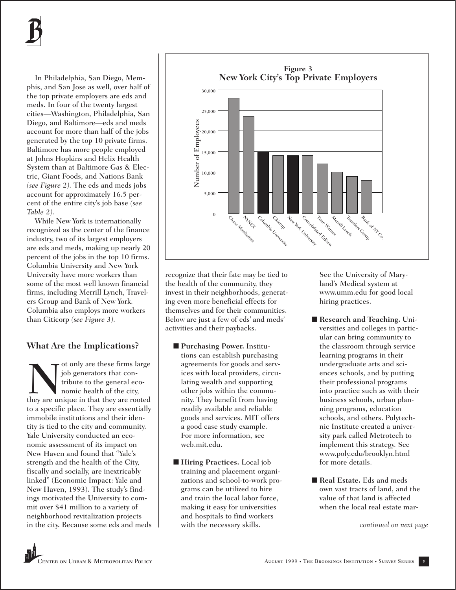In Philadelphia, San Diego, Memphis, and San Jose as well, over half of the top private employers are eds and meds. In four of the twenty largest cities—Washington, Philadelphia, San Diego, and Baltimore—eds and meds account for more than half of the jobs generated by the top 10 private firms. Baltimore has more people employed at Johns Hopkins and Helix Health System than at Baltimore Gas & Electric, Giant Foods, and Nations Bank *(see Figure 2).* The eds and meds jobs account for approximately 16.5 percent of the entire city's job base *(see Table 2).*

While New York is internationally recognized as the center of the finance industry, two of its largest employers are eds and meds, making up nearly 20 percent of the jobs in the top 10 firms. Columbia University and New York University have more workers than some of the most well known financial firms, including Merrill Lynch, Travelers Group and Bank of New York. Columbia also employs more workers than Citicorp *(see Figure 3).*

# **What Are the Implications?**

They are these firms large<br>tipute to the general economic health of the city,<br>they are unique in that they are rooted job generators that contribute to the general economic health of the city, to a specific place. They are essentially immobile institutions and their identity is tied to the city and community. Yale University conducted an economic assessment of its impact on New Haven and found that "Yale's strength and the health of the City, fiscally and socially, are inextricably linked" (Economic Impact: Yale and New Haven, 1993). The study's findings motivated the University to commit over \$41 million to a variety of neighborhood revitalization projects in the city. Because some eds and meds



recognize that their fate may be tied to the health of the community, they invest in their neighborhoods, generating even more beneficial effects for themselves and for their communities. Below are just a few of eds' and meds' activities and their paybacks.

- **Purchasing Power.** Institutions can establish purchasing agreements for goods and services with local providers, circulating wealth and supporting other jobs within the community. They benefit from having readily available and reliable goods and services. MIT offers a good case study example. For more information, see web.mit.edu.
- **Hiring Practices.** Local job training and placement organizations and school-to-work programs can be utilized to hire and train the local labor force, making it easy for universities and hospitals to find workers with the necessary skills.

See the University of Maryland's Medical system at www.umm.edu for good local hiring practices.

- **Research and Teaching.** Universities and colleges in particular can bring community to the classroom through service learning programs in their undergraduate arts and sciences schools, and by putting their professional programs into practice such as with their business schools, urban planning programs, education schools, and others. Polytechnic Institute created a university park called Metrotech to implement this strategy. See www.poly.edu/brooklyn.html for more details.
- **Real Estate.** Eds and meds own vast tracts of land, and the value of that land is affected when the local real estate mar-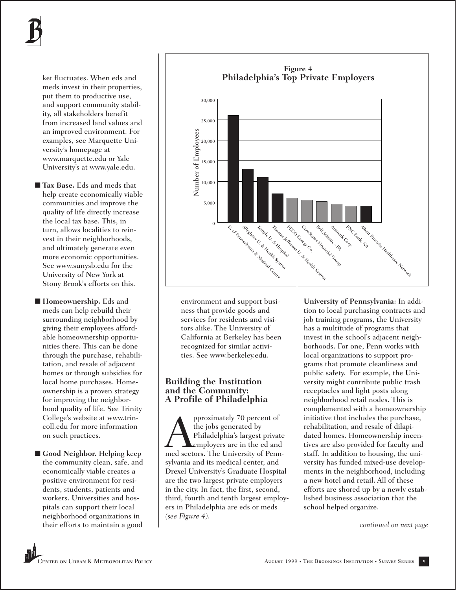

ket fluctuates. When eds and meds invest in their properties, put them to productive use, and support community stability, all stakeholders benefit from increased land values and an improved environment. For examples, see Marquette University's homepage at www.marquette.edu or Yale University's at www.yale.edu.

- **Tax Base.** Eds and meds that help create economically viable communities and improve the quality of life directly increase the local tax base. This, in turn, allows localities to reinvest in their neighborhoods, and ultimately generate even more economic opportunities. See www.sunysb.edu for the University of New York at Stony Brook's efforts on this.
- **Homeownership**. Eds and meds can help rebuild their surrounding neighborhood by giving their employees affordable homeownership opportunities there. This can be done through the purchase, rehabilitation, and resale of adjacent homes or through subsidies for local home purchases. Homeownership is a proven strategy for improving the neighborhood quality of life. See Trinity College's website at www.trincoll.edu for more information on such practices.
- Good Neighbor. Helping keep the community clean, safe, and economically viable creates a positive environment for residents, students, patients and workers. Universities and hospitals can support their local neighborhood organizations in their efforts to maintain a good



environment and support business that provide goods and services for residents and visitors alike. The University of California at Berkeley has been recognized for similar activities. See www.berkeley.edu.

#### **Building the Institution and the Community: A Profile of Philadelphia**

pproximately 70 percent of<br>the jobs generated by<br>Philadelphia's largest private<br>meloyers are in the ed and<br>med sectors. The University of Pennthe jobs generated by Philadelphia's largest private employers are in the ed and sylvania and its medical center, and Drexel University's Graduate Hospital are the two largest private employers in the city. In fact, the first, second, third, fourth and tenth largest employers in Philadelphia are eds or meds *(see Figure 4).*

**University of Pennsylvania:** In addition to local purchasing contracts and job training programs, the University has a multitude of programs that invest in the school's adjacent neighborhoods. For one, Penn works with local organizations to support programs that promote cleanliness and public safety. For example, the University might contribute public trash receptacles and light posts along neighborhood retail nodes. This is complemented with a homeownership initiative that includes the purchase, rehabilitation, and resale of dilapidated homes. Homeownership incentives are also provided for faculty and staff. In addition to housing, the university has funded mixed-use developments in the neighborhood, including a new hotel and retail. All of these efforts are shored up by a newly established business association that the school helped organize.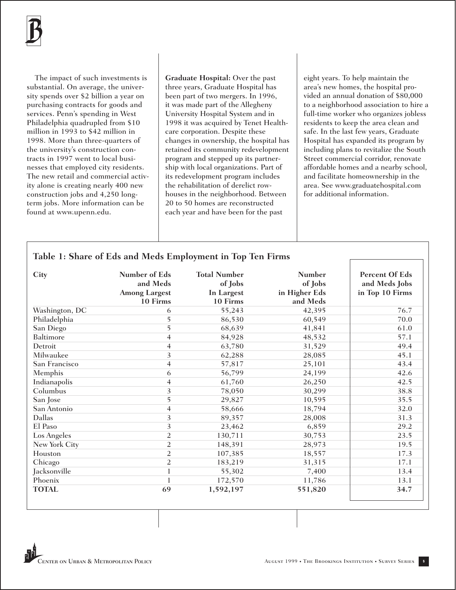

The impact of such investments is substantial. On average, the university spends over \$2 billion a year on purchasing contracts for goods and services. Penn's spending in West Philadelphia quadrupled from \$10 million in 1993 to \$42 million in 1998. More than three-quarters of the university's construction contracts in 1997 went to local businesses that employed city residents. The new retail and commercial activity alone is creating nearly 400 new construction jobs and 4,250 longterm jobs. More information can be found at www.upenn.edu.

**Graduate Hospital:** Over the past three years, Graduate Hospital has been part of two mergers. In 1996, it was made part of the Allegheny University Hospital System and in 1998 it was acquired by Tenet Healthcare corporation. Despite these changes in ownership, the hospital has retained its community redevelopment program and stepped up its partnership with local organizations. Part of its redevelopment program includes the rehabilitation of derelict rowhouses in the neighborhood. Between 20 to 50 homes are reconstructed each year and have been for the past

eight years. To help maintain the area's new homes, the hospital provided an annual donation of \$80,000 to a neighborhood association to hire a full-time worker who organizes jobless residents to keep the area clean and safe. In the last few years, Graduate Hospital has expanded its program by including plans to revitalize the South Street commercial corridor, renovate affordable homes and a nearby school, and facilitate homeownership in the area. See www.graduatehospital.com for additional information.

# **Table 1: Share of Eds and Meds Employment in Top Ten Firms**

| City           | Number of Eds<br>and Meds<br><b>Among Largest</b><br>10 Firms | <b>Total Number</b><br>of Jobs<br>In Largest<br>10 Firms | <b>Number</b><br>of Jobs<br>in Higher Eds<br>and Meds | Percent Of Eds<br>and Meds Jobs<br>in Top 10 Firms |
|----------------|---------------------------------------------------------------|----------------------------------------------------------|-------------------------------------------------------|----------------------------------------------------|
| Washington, DC | 6                                                             | 55,243                                                   | 42,395                                                | 76.7                                               |
| Philadelphia   | 5                                                             | 86,530                                                   | 60,549                                                | 70.0                                               |
| San Diego      | 5                                                             | 68,639                                                   | 41,841                                                | 61.0                                               |
| Baltimore      | 4                                                             | 84,928                                                   | 48,532                                                | 57.1                                               |
| Detroit        | 4                                                             | 63,780                                                   | 31,529                                                | 49.4                                               |
| Milwaukee      | 3                                                             | 62,288                                                   | 28,085                                                | 45.1                                               |
| San Francisco  | 4                                                             | 57,817                                                   | 25,101                                                | 43.4                                               |
| Memphis        | 6                                                             | 56,799                                                   | 24,199                                                | 42.6                                               |
| Indianapolis   | 4                                                             | 61,760                                                   | 26,250                                                | 42.5                                               |
| Columbus       | $\overline{3}$                                                | 78,050                                                   | 30,299                                                | 38.8                                               |
| San Jose       | 5                                                             | 29,827                                                   | 10,595                                                | 35.5                                               |
| San Antonio    | 4                                                             | 58,666                                                   | 18,794                                                | 32.0                                               |
| Dallas         | $\overline{\mathbf{3}}$                                       | 89,357                                                   | 28,008                                                | 31.3                                               |
| El Paso        | $\overline{\mathbf{3}}$                                       | 23,462                                                   | 6,859                                                 | 29.2                                               |
| Los Angeles    | $\overline{c}$                                                | 130,711                                                  | 30,753                                                | 23.5                                               |
| New York City  | $\overline{2}$                                                | 148,391                                                  | 28,973                                                | 19.5                                               |
| Houston        | $\overline{2}$                                                | 107,385                                                  | 18,557                                                | 17.3                                               |
| Chicago        | $\overline{2}$                                                | 183,219                                                  | 31,315                                                | 17.1                                               |
| Jacksonville   |                                                               | 55,302                                                   | 7,400                                                 | 13.4                                               |
| Phoenix        |                                                               | 172,570                                                  | 11,786                                                | 13.1                                               |
| <b>TOTAL</b>   | 69                                                            | 1,592,197                                                | 551,820                                               | 34.7                                               |